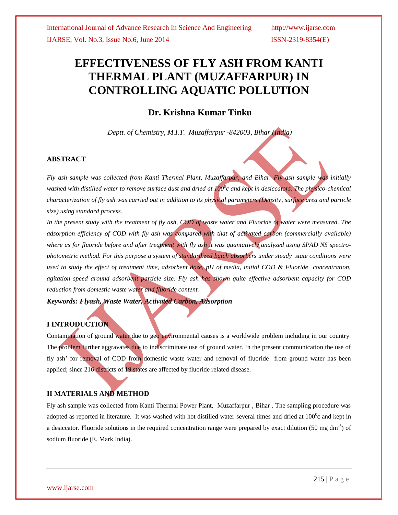# **EFFECTIVENESS OF FLY ASH FROM KANTI THERMAL PLANT (MUZAFFARPUR) IN CONTROLLING AQUATIC POLLUTION**

## **Dr. Krishna Kumar Tinku**

*Deptt. of Chemistry, M.I.T. Muzaffarpur -842003, Bihar (India)*

## **ABSTRACT**

*Fly ash sample was collected from Kanti Thermal Plant, Muzaffarpur, and Bihar. Fly ash sample was initially washed with distilled water to remove surface dust and dried at 100<sup>0</sup> c and kept in desiccators. The physico-chemical characterization of fly ash was carried out in addition to its physical parameters (Density, surface area and particle size) using standard process.* 

*In the present study with the treatment of fly ash, COD of waste water and Fluoride of water were measured. The adsorption efficiency of COD with fly ash was compared with that of activated carbon (commercially available) where as for fluoride before and after treatment with fly ash it was quantatively analyzed using SPAD NS spectrophotometric method. For this purpose a system of standardized batch absorbers under steady state conditions were*  used to study the effect of treatment time, adsorbent doze, pH of media, initial COD & Fluoride concentration, *agitation speed around adsorbent particle size. Fly ash has shown quite effective adsorbent capacity for COD reduction from domestic waste water and fluoride content.* 

*Keywords: Flyash, Waste Water, Activated Carbon, Adsorption* 

## **I INTRODUCTION**

Contamination of ground water due to geo environmental causes is a worldwide problem including in our country. The problem further aggravates due to indiscriminate use of ground water. In the present communication the use of fly ash' for removal of COD from domestic waste water and removal of fluoride from ground water has been applied; since 216 districts of 19 states are affected by fluoride related disease.

## **II MATERIALS AND METHOD**

Fly ash sample was collected from Kanti Thermal Power Plant, Muzaffarpur , Bihar . The sampling procedure was adopted as reported in literature. It was washed with hot distilled water several times and dried at  $100^0$ c and kept in a desiccator. Fluoride solutions in the required concentration range were prepared by exact dilution (50 mg dm<sup>-3</sup>) of sodium fluoride (E. Mark India).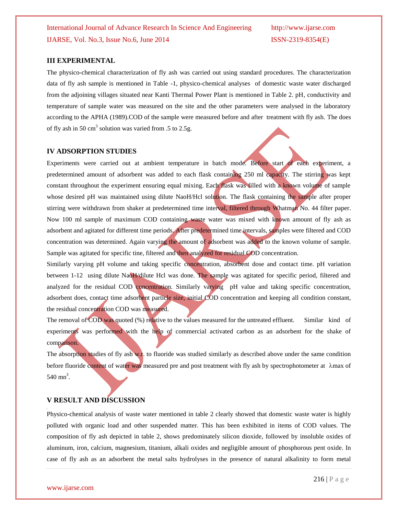#### **III EXPERIMENTAL**

The physico-chemical characterization of fly ash was carried out using standard procedures. The characterization data of fly ash sample is mentioned in Table -1, physico-chemical analyses of domestic waste water discharged from the adjoining villages situated near Kanti Thermal Power Plant is mentioned in Table 2. pH, conductivity and temperature of sample water was measured on the site and the other parameters were analysed in the laboratory according to the APHA (1989).COD of the sample were measured before and after treatment with fly ash. The does of fly ash in 50 cm<sup>3</sup> solution was varied from .5 to 2.5g.

#### **IV ADSORPTION STUDIES**

Experiments were carried out at ambient temperature in batch mode. Before start of each experiment, a predetermined amount of adsorbent was added to each flask containing 250 ml capacity. The stirring was kept constant throughout the experiment ensuring equal mixing. Each flask was filled with a known volume of sample whose desired pH was maintained using dilute NaoH/Hcl solution. The flask containing the sample after proper stirring were withdrawn from shaker at predetermined time interval, filtered through Whatman No. 44 filter paper. Now 100 ml sample of maximum COD containing waste water was mixed with known amount of fly ash as adsorbent and agitated for different time periods. After predetermined time intervals, samples were filtered and COD concentration was determined. Again varying the amount of adsorbent was added to the known volume of sample. Sample was agitated for specific tine, filtered and then analyzed for residual COD concentration.

Similarly varying pH volume and taking specific concentration, absorbent dose and contact time. pH variation between 1-12 using dilute NaoH/dilute Hcl was done. The sample was agitated for specific period, filtered and analyzed for the residual COD concentration. Similarly varying pH value and taking specific concentration, adsorbent does, contact time adsorbent particle size, initial COD concentration and keeping all condition constant, the residual concentration COD was measured.

The removal of COD was quoted (%) relative to the values measured for the untreated effluent. Similar kind of experiments was performed with the help of commercial activated carbon as an adsorbent for the shake of comparison.

The absorption studies of fly ash w.r. to fluoride was studied similarly as described above under the same condition before fluoride content of water was measured pre and post treatment with fly ash by spectrophotometer at  $\lambda$ max of  $540 \text{ mn}^3$ .

#### **V RESULT AND DISCUSSION**

Physico-chemical analysis of waste water mentioned in table 2 clearly showed that domestic waste water is highly polluted with organic load and other suspended matter. This has been exhibited in items of COD values. The composition of fly ash depicted in table 2, shows predominately silicon dioxide, followed by insoluble oxides of aluminum, iron, calcium, magnesium, titanium, alkali oxides and negligible amount of phosphorous pent oxide. In case of fly ash as an adsorbent the metal salts hydrolyses in the presence of natural alkalinity to form metal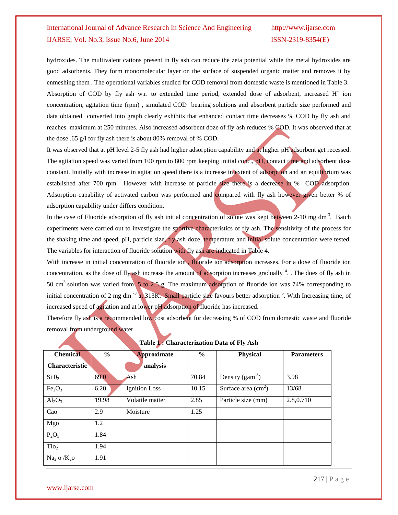hydroxides. The multivalent cations present in fly ash can reduce the zeta potential while the metal hydroxides are good adsorbents. They form monomolecular layer on the surface of suspended organic matter and removes it by enmeshing them . The operational variables studied for COD removal from domestic waste is mentioned in Table 3. Absorption of COD by fly ash w.r. to extended time period, extended dose of adsorbent, increased  $H^+$  ion concentration, agitation time (rpm) , simulated COD bearing solutions and absorbent particle size performed and data obtained converted into graph clearly exhibits that enhanced contact time decreases % COD by fly ash and reaches maximum at 250 minutes. Also increased adsorbent doze of fly ash reduces % COD. It was observed that at the dose .65 g/l for fly ash there is about 80% removal of % COD.

It was observed that at pH level 2-5 fly ash had higher adsorption capability and at higher pH adsorbent get recessed. The agitation speed was varied from 100 rpm to 800 rpm keeping initial conc., pH, contact time and adsorbent dose constant. Initially with increase in agitation speed there is a increase in extent of adsorption and an equilibrium was established after 700 rpm. However with increase of particle size there is a decrease in % COD adsorption. Adsorption capability of activated carbon was performed and compared with fly ash however given better % of adsorption capability under differs condition.

In the case of Fluoride adsorption of fly ash initial concentration of solute was kept between 2-10 mg dm<sup>-3</sup>. Batch experiments were carried out to investigate the sportive characteristics of fly ash. The sensitivity of the process for the shaking time and speed, pH, particle size, fly ash doze, temperature and initial solute concentration were tested. The variables for interaction of fluoride solution with fly ash are indicated in Table 4.

With increase in initial concentration of fluoride ion, fluoride ion adsorption increases. For a dose of fluoride ion concentration, as the dose of fly ash increase the amount of adsorption increases gradually <sup>4</sup>. The does of fly ash in 50 cm<sup>3</sup> solution was varied from .5 to 2.5 g. The maximum adsorption of fluoride ion was 74% corresponding to initial concentration of 2 mg dm<sup>-3</sup> at 313K. Small particle size favours better adsorption <sup>5</sup>. With Increasing time, of increased speed of agitation and at lower pH adsorption of fluoride has increased.

Therefore fly ash is a recommended low cost adsorbent for decreasing % of COD from domestic waste and fluoride removal from underground water.

| <b>Chemical</b>                | $\frac{6}{9}$ | <b>Approximate</b>   | $\frac{6}{6}$ | <b>Physical</b>      | <b>Parameters</b> |
|--------------------------------|---------------|----------------------|---------------|----------------------|-------------------|
| <b>Characteristic</b>          |               | analysis             |               |                      |                   |
| $Si$ $02$                      | 69.0          | Ash                  | 70.84         | Density $(gam^{-3})$ | 3.98              |
| Fe <sub>2</sub> O <sub>3</sub> | 6.20          | <b>Ignition</b> Loss | 10.15         | Surface area $(cm2)$ | 13/68             |
| $Al_2O_3$                      | 19.98         | Volatile matter      | 2.85          | Particle size (mm)   | 2.8,0.710         |
| Cao                            | 2.9           | Moisture             | 1.25          |                      |                   |
| Mgo                            | 1.2           |                      |               |                      |                   |
| $P_2O_5$                       | 1.84          |                      |               |                      |                   |
| Tio <sub>2</sub>               | 1.94          |                      |               |                      |                   |
| $Na2$ o / $K2$ o               | 1.91          |                      |               |                      |                   |

**Table 1 : Characterization Data of Fly Ash**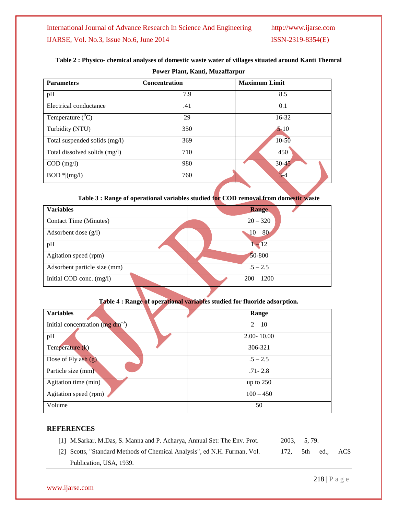## **Table 2 : Physico- chemical analyses of domestic waste water of villages situated around Kanti Themral**

| <b>Parameters</b>             | <b>Concentration</b> | <b>Maximum Limit</b> |
|-------------------------------|----------------------|----------------------|
| pH                            | 7.9                  | 8.5                  |
| Electrical conductance        | .41                  | 0.1                  |
| Temperature $(^0C)$           | 29                   | $16 - 32$            |
| Turbidity (NTU)               | 350                  | $5 - 10$             |
| Total suspended solids (mg/l) | 369                  | $10 - 50$            |
| Total dissolved solids (mg/l) | 710                  | 450                  |
| $COD$ (mg/l)                  | 980                  | $30 - 49$            |
| $BOD *   (mg/l)$              | 760                  | $3 - 4$              |

## **Table 3 : Range of operational variables studied for COD removal from domestic waste**

| <b>Variables</b>             | <b>Range</b> |  |  |  |
|------------------------------|--------------|--|--|--|
| Contact Time (Minutes)       | $20 - 320$   |  |  |  |
| Adsorbent dose $(g/l)$       | $10 - 80$    |  |  |  |
| pH                           | $-12$        |  |  |  |
| Agitation speed (rpm)        | 50-800       |  |  |  |
| Adsorbent particle size (mm) | $.5 - 2.5$   |  |  |  |
| Initial COD conc. (mg/l)     | $200 - 1200$ |  |  |  |

### **Table 4 : Range of operational variables studied for fluoride adsorption.**

| <b>Variables</b>                            | Range          |
|---------------------------------------------|----------------|
| Initial concentration $(\text{mg dm}^{-3})$ | $2 - 10$       |
| pH                                          | $2.00 - 10.00$ |
| Temperature (k)                             | 306-321        |
| Dose of Fly ash $(g)$                       | $.5 - 2.5$     |
| Particle size (mm)                          | $.71 - 2.8$    |
| Agitation time (min)                        | up to $250$    |
| Agitation speed (rpm)                       | $100 - 450$    |
| Volume                                      | 50             |

## **REFERENCES**

| [1] M.Sarkar, M.Das, S. Manna and P. Acharya, Annual Set: The Env. Prot.  |              |  | 2003. 5.79. |     |  |
|---------------------------------------------------------------------------|--------------|--|-------------|-----|--|
| [2] Scotts, "Standard Methods of Chemical Analysis", ed N.H. Furman, Vol. | 172. 5th ed. |  |             | ACS |  |
| Publication, USA, 1939.                                                   |              |  |             |     |  |